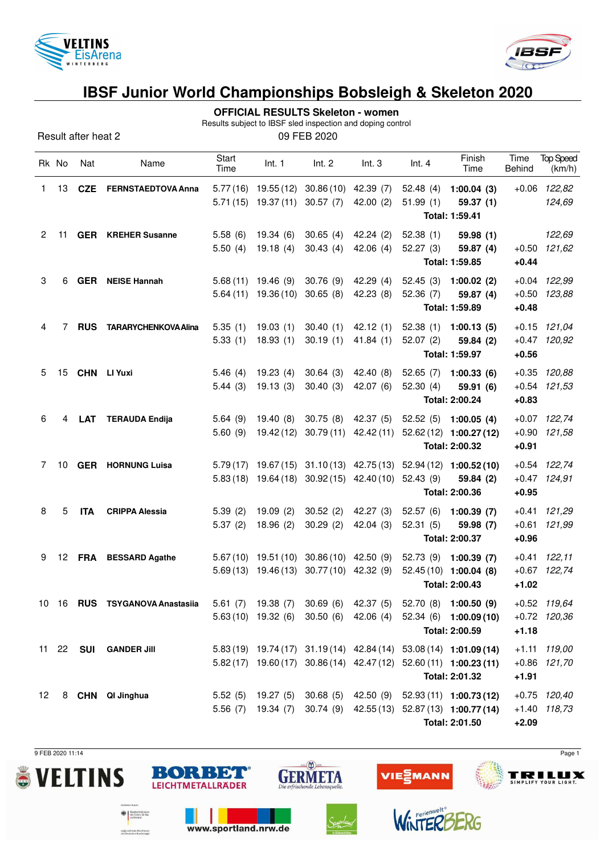



Results subject to IBSF sled inspection and doping control

| Result after heat 2 | 09 FEB 2020 |
|---------------------|-------------|
|---------------------|-------------|

| Rk No                 |    | Nat        | Name                           | Start<br>Time | Int. 1                          | Int. 2                                                | Int.3                                          | Int.4                | Finish<br>Time                                                     | Time<br>Behind | <b>Top Speed</b><br>(km/h) |
|-----------------------|----|------------|--------------------------------|---------------|---------------------------------|-------------------------------------------------------|------------------------------------------------|----------------------|--------------------------------------------------------------------|----------------|----------------------------|
| 1.                    | 13 | <b>CZE</b> | <b>FERNSTAEDTOVA Anna</b>      |               | $5.71(15)$ 19.37(11)            | 5.77 (16) 19.55 (12) 30.86 (10) 42.39 (7)<br>30.57(7) | 42.00(2)                                       | 52.48(4)<br>51.99(1) | 1:00.04(3)<br>59.37(1)                                             |                | $+0.06$ 122,82<br>124,69   |
|                       |    |            |                                |               |                                 |                                                       |                                                |                      | Total: 1:59.41                                                     |                |                            |
| $\mathbf{2}^{\prime}$ | 11 |            | <b>GER</b> KREHER Susanne      | 5.58(6)       | 19.34 (6)                       | 30.65(4)                                              | 42.24(2)                                       | 52.38(1)             | 59.98(1)                                                           |                | 122,69                     |
|                       |    |            |                                | 5.50(4)       | 19.18(4)                        | 30.43(4)                                              | 42.06(4)                                       | 52.27(3)             | 59.87 (4)                                                          |                | $+0.50$ 121,62             |
|                       |    |            |                                |               |                                 |                                                       |                                                |                      | Total: 1:59.85                                                     | $+0.44$        |                            |
| 3                     | 6  |            | <b>GER</b> NEISE Hannah        |               | $5.68(11)$ 19.46 (9)            | 30.76(9)                                              | 42.29(4)                                       | 52.45(3)             | 1:00.02(2)                                                         |                | $+0.04$ 122,99             |
|                       |    |            |                                |               | $5.64(11)$ 19.36 (10) 30.65 (8) |                                                       | 42.23 (8)                                      | 52.36(7)             | 59.87 (4)                                                          |                | $+0.50$ $123,88$           |
|                       |    |            |                                |               |                                 |                                                       |                                                |                      | Total: 1:59.89                                                     | $+0.48$        |                            |
| 4                     | 7  | <b>RUS</b> | <b>TARARYCHENKOVA Alina</b>    | 5.35(1)       | 19.03(1)                        | 30.40(1)                                              | 42.12(1)                                       |                      | $52.38(1)$ 1:00.13(5)                                              |                | $+0.15$ 121,04             |
|                       |    |            |                                | 5.33(1)       | 18.93(1)                        | 30.19(1)                                              | 41.84(1)                                       | 52.07(2)             | 59.84 (2)                                                          |                | $+0.47$ 120,92             |
|                       |    |            |                                |               |                                 |                                                       |                                                |                      | Total: 1:59.97                                                     | $+0.56$        |                            |
| 5.                    | 15 |            | CHN LI Yuxi                    | 5.46(4)       | 19.23(4)                        | 30.64(3)                                              | 42.40 (8)                                      | 52.65(7)             | 1:00.33(6)                                                         |                | $+0.35$ $120,88$           |
|                       |    |            |                                | 5.44(3)       | 19.13(3)                        | 30.40(3)                                              | 42.07 (6)                                      | 52.30(4)             | 59.91 (6)                                                          |                | $+0.54$ $121,53$           |
|                       |    |            |                                |               |                                 |                                                       |                                                |                      | Total: 2:00.24                                                     | $+0.83$        |                            |
| 6                     | 4  | <b>LAT</b> | <b>TERAUDA Endija</b>          | 5.64(9)       | 19.40 (8) 30.75 (8)             |                                                       | 42.37 (5)                                      |                      | $52.52(5)$ 1:00.05 (4)                                             |                | +0.07 122,74               |
|                       |    |            |                                | 5.60(9)       |                                 | 19.42 (12) 30.79 (11)                                 | 42.42 (11)                                     |                      | 52.62 (12) 1:00.27 (12)                                            | $+0.90$        | 121,58                     |
|                       |    |            |                                |               |                                 |                                                       |                                                |                      | Total: 2:00.32                                                     | $+0.91$        |                            |
| 7                     |    |            | 10 GER HORNUNG Luisa           |               |                                 |                                                       | $5.79(17)$ $19.67(15)$ $31.10(13)$ $42.75(13)$ |                      | 52.94 (12) 1:00.52 (10)                                            |                | +0.54 122,74               |
|                       |    |            |                                |               |                                 |                                                       | $5.83(18)$ 19.64 (18) 30.92 (15) 42.40 (10)    | 52.43(9)             | 59.84 (2)                                                          |                | $+0.47$ 124,91             |
|                       |    |            |                                |               |                                 |                                                       |                                                |                      | Total: 2:00.36                                                     | $+0.95$        |                            |
| 8                     | 5  | <b>ITA</b> | <b>CRIPPA Alessia</b>          | 5.39(2)       | 19.09(2)                        | 30.52(2)                                              | 42.27(3)                                       |                      | 52.57 (6) 1:00.39 (7)                                              |                | $+0.41$ 121,29             |
|                       |    |            |                                | 5.37(2)       | 18.96(2)                        | 30.29(2)                                              | 42.04 (3)                                      | 52.31(5)             | 59.98 (7)                                                          | $+0.61$        | 121,99                     |
|                       |    |            |                                |               |                                 |                                                       |                                                |                      | Total: 2:00.37                                                     | $+0.96$        |                            |
| 9                     |    |            | 12 FRA BESSARD Agathe          |               |                                 | 5.67(10) 19.51(10) 30.86(10) 42.50(9)                 |                                                |                      | 52.73 (9) 1:00.39 (7)                                              |                | $+0.41$ 122,11             |
|                       |    |            |                                |               |                                 | 5.69 (13) 19.46 (13) 30.77 (10) 42.32 (9)             |                                                |                      | $52.45(10)$ 1:00.04 (8)                                            |                | $+0.67$ 122,74             |
|                       |    |            |                                |               |                                 |                                                       |                                                |                      | Total: 2:00.43                                                     | $+1.02$        |                            |
|                       |    |            | 10 16 RUS TSYGANOVA Anastasiia |               |                                 |                                                       |                                                |                      | 5.61 (7) 19.38 (7) 30.69 (6) 42.37 (5) 52.70 (8) 1:00.50 (9)       |                | $+0.52$ 119,64             |
|                       |    |            |                                |               |                                 | $5.63(10)$ 19.32 (6) 30.50 (6)                        | 42.06 (4)                                      |                      | $52.34(6)$ 1:00.09(10)                                             |                | $+0.72$ 120,36             |
|                       |    |            |                                |               |                                 |                                                       |                                                |                      | Total: 2:00.59                                                     | $+1.18$        |                            |
|                       |    |            | 11 22 SUI GANDER Jill          |               |                                 |                                                       |                                                |                      | 5.83 (19) 19.74 (17) 31.19 (14) 42.84 (14) 53.08 (14) 1:01.09 (14) | $+1.11$        | 119,00                     |
|                       |    |            |                                |               |                                 |                                                       |                                                |                      | 5.82 (17) 19.60 (17) 30.86 (14) 42.47 (12) 52.60 (11) 1:00.23 (11) |                | $+0.86$ 121,70             |
|                       |    |            |                                |               |                                 |                                                       |                                                |                      | Total: 2:01.32                                                     | $+1.91$        |                            |
| 12                    |    |            | 8 CHN QI Jinghua               |               |                                 | 5.52 (5) 19.27 (5) 30.68 (5)                          |                                                |                      | 42.50 (9) 52.93 (11) 1:00.73 (12)                                  |                | $+0.75$ 120,40             |
|                       |    |            |                                |               | $5.56(7)$ 19.34 $(7)$           | 30.74(9)                                              |                                                |                      | 42.55 (13) 52.87 (13) 1:00.77 (14)                                 |                | $+1.40$ 118,73             |
|                       |    |            |                                |               |                                 |                                                       |                                                |                      | Total: 2:01.50                                                     | $+2.09$        |                            |

 $sin(\sum)$  is the set of  $\sum$ 

**GERMETA** 

BORBET

**LEICHTMETALLRÄDER** 

www.sportland.nrw.de

 $\bigoplus_{\text{def} \text{ Inorm } t} \left\{\begin{array}{l}\text{Subsemins} \\ \text{des Inorm, f} \\ \text{and Heinut}\end{array}\right.$ 

sulgrund eines Beschlusser<br>des Deutschen Bundestanes

9 FEB 2020 11:14 Page 1







VIEZMANN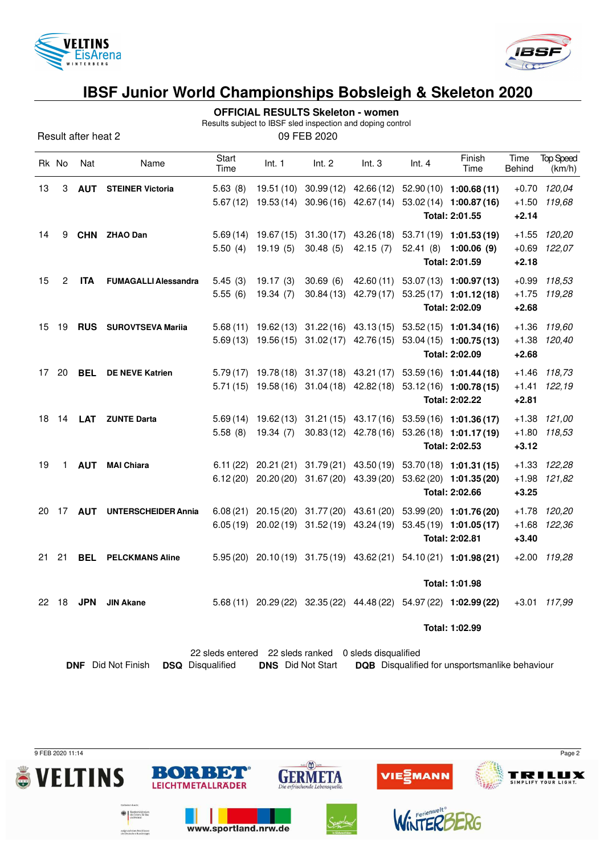



**OFFICIAL RESULTS Skeleton - women**

Results subject to IBSF sled inspection and doping control

Result after heat 2 09 FEB 2020

|    | Rk No          | Nat        | Name                         | Start<br>Time       | Int. 1                  | Int. 2                                         | Int.3                                                                                     | Int. $4$ | Finish<br>Time                                                                                                                                             | Time<br>Behind                | <b>Top Speed</b><br>(km/h) |
|----|----------------|------------|------------------------------|---------------------|-------------------------|------------------------------------------------|-------------------------------------------------------------------------------------------|----------|------------------------------------------------------------------------------------------------------------------------------------------------------------|-------------------------------|----------------------------|
| 13 | 3              | <b>AUT</b> | <b>STEINER Victoria</b>      | 5.63(8)<br>5.67(12) | 19.51 (10)<br>19.53(14) |                                                | $30.96(16)$ 42.67(14)                                                                     |          | 30.99 (12) 42.66 (12) 52.90 (10) 1:00.68 (11)<br>53.02 (14) 1:00.87 (16)<br>Total: 2:01.55                                                                 | $+1.50$<br>$+2.14$            | +0.70 120,04<br>119,68     |
| 14 | 9              |            | CHN ZHAO Dan                 | 5.69(14)<br>5.50(4) | 19.67 (15)<br>19.19(5)  | 31.30(17)<br>30.48(5)                          | 43.26 (18)<br>42.15(7)                                                                    |          | 53.71 (19) 1:01.53 (19)<br>52.41 (8) 1:00.06 (9)<br>Total: 2:01.59                                                                                         | $+1.55$<br>$+0.69$<br>$+2.18$ | 120,20<br>122,07           |
| 15 | $\overline{c}$ | <b>ITA</b> | <b>FUMAGALLI Alessandra</b>  | 5.45(3)<br>5.55(6)  | 19.17(3)<br>19.34(7)    | 30.69(6)<br>30.84(13)                          | 42.60 (11)<br>42.79 (17)                                                                  |          | 53.07 (13) 1:00.97 (13)<br>$53.25(17)$ 1:01.12(18)<br>Total: 2:02.09                                                                                       | $+0.99$<br>$+1.75$<br>$+2.68$ | 118,53<br>119,28           |
| 15 | 19             |            | <b>RUS</b> SUROVTSEVA Marija |                     |                         |                                                |                                                                                           |          | 5.68 (11) 19.62 (13) 31.22 (16) 43.13 (15) 53.52 (15) 1:01.34 (16)<br>5.69 (13) 19.56 (15) 31.02 (17) 42.76 (15) 53.04 (15) 1:00.75 (13)<br>Total: 2:02.09 | $+1.36$<br>$+1.38$<br>$+2.68$ | 119,60<br>120,40           |
| 17 | 20             | <b>BEL</b> | <b>DE NEVE Katrien</b>       |                     |                         |                                                | 5.79 (17) 19.78 (18) 31.37 (18) 43.21 (17)<br>$5.71(15)$ 19.58 (16) 31.04 (18) 42.82 (18) |          | 53.59 (16) 1:01.44 (18)<br>53.12 (16) 1:00.78 (15)<br>Total: 2:02.22                                                                                       | $+1.46$<br>$+1.41$<br>$+2.81$ | 118,73<br>122,19           |
| 18 | 14             | LAT        | <b>ZUNTE Darta</b>           | 5.58(8)             | 19.34(7)                |                                                |                                                                                           |          | 5.69 (14) 19.62 (13) 31.21 (15) 43.17 (16) 53.59 (16) 1:01.36 (17)<br>30.83 (12) 42.78 (16) 53.26 (18) 1:01.17 (19)<br>Total: 2:02.53                      | $+1.80$<br>$+3.12$            | $+1.38$ $121,00$<br>118,53 |
| 19 | 1              | <b>AUT</b> | <b>MAI Chiara</b>            |                     |                         | $6.12(20)$ $20.20(20)$ $31.67(20)$ $43.39(20)$ |                                                                                           |          | 6.11 (22) 20.21 (21) 31.79 (21) 43.50 (19) 53.70 (18) 1:01.31 (15)<br>53.62 (20) 1:01.35 (20)<br>Total: 2:02.66                                            | $+1.98$<br>$+3.25$            | +1.33 122,28<br>121,82     |
| 20 | 17             | <b>AUT</b> | <b>UNTERSCHEIDER Annia</b>   |                     |                         |                                                |                                                                                           |          | 6.08 (21) 20.15 (20) 31.77 (20) 43.61 (20) 53.99 (20) 1:01.76 (20)<br>6.05 (19) 20.02 (19) 31.52 (19) 43.24 (19) 53.45 (19) 1:01.05 (17)<br>Total: 2:02.81 | $+1.68$<br>$+3.40$            | +1.78 120,20<br>122,36     |
| 21 | 21             | <b>BEL</b> | <b>PELCKMANS Aline</b>       |                     |                         |                                                |                                                                                           |          | $5.95(20)$ $20.10(19)$ $31.75(19)$ $43.62(21)$ $54.10(21)$ $1:01.98(21)$<br>Total: 1:01.98                                                                 |                               | $+2.00$ 119,28             |
| 22 | 18             | <b>JPN</b> | <b>JIN Akane</b>             | 5.68(11)            |                         |                                                |                                                                                           |          | 20.29 (22) 32.35 (22) 44.48 (22) 54.97 (22) 1:02.99 (22)                                                                                                   |                               | +3.01 117,99               |
|    |                |            |                              |                     |                         |                                                |                                                                                           |          | Total: 1:02.99                                                                                                                                             |                               |                            |

|                                                   | 22 sleds entered 22 sleds ranked 0 sleds disqualified |  |                                                                         |
|---------------------------------------------------|-------------------------------------------------------|--|-------------------------------------------------------------------------|
| <b>DNF</b> Did Not Finish <b>DSQ</b> Disqualified |                                                       |  | <b>DNS</b> Did Not Start DQB Disqualified for unsportsmanlike behaviour |

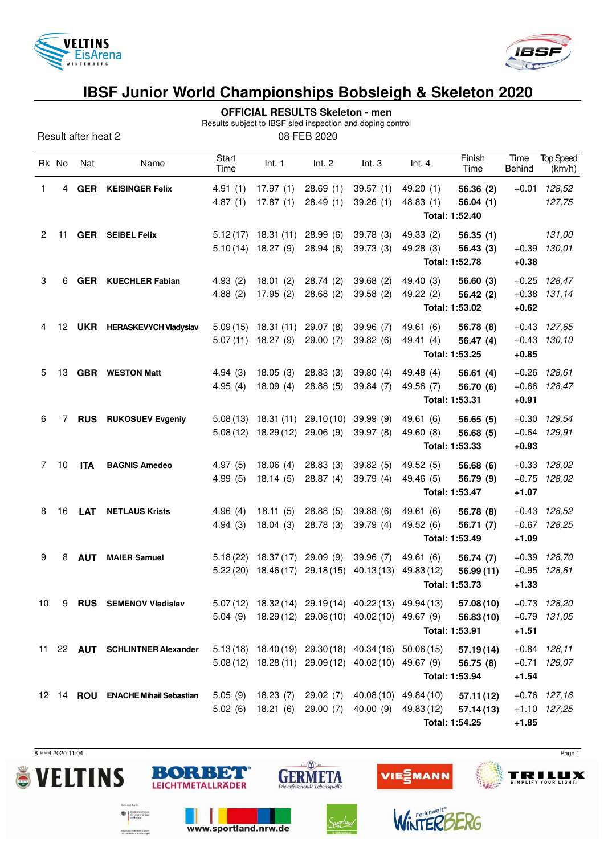



| <b>OFFICIAL RESULTS Skeleton - men</b> |  |
|----------------------------------------|--|
|----------------------------------------|--|

Results subject to IBSF sled inspection and doping control

| Result after heat 2 | 08 FEB 2020 |
|---------------------|-------------|
|---------------------|-------------|

|                 | Rk No | Nat        | Name                              | Start<br>Time        | Int. 1                            | Int. 2                | Int.3                                                 | Int. 4                                                     | Finish<br>Time          | Time<br>Behind     | <b>Top Speed</b><br>(km/h) |
|-----------------|-------|------------|-----------------------------------|----------------------|-----------------------------------|-----------------------|-------------------------------------------------------|------------------------------------------------------------|-------------------------|--------------------|----------------------------|
| 1               | 4     | <b>GER</b> | <b>KEISINGER Felix</b>            | 4.91(1)              | 17.97(1)                          | 28.69(1)              | 39.57(1)                                              | 49.20 (1)                                                  | 56.36 (2)               | $+0.01$            | 128,52                     |
|                 |       |            |                                   | 4.87(1)              | 17.87(1)                          | 28.49(1)              | 39.26(1)                                              | 48.83 (1)<br>Total: 1:52.40                                | 56.04(1)                |                    | 127,75                     |
| $\overline{2}$  | 11    |            | <b>GER</b> SEIBEL Felix           | 5.12(17)             | 18.31(11)                         | 28.99(6)              | 39.78(3)                                              | 49.33 (2)                                                  | 56.35(1)                |                    | 131,00                     |
|                 |       |            |                                   | 5.10(14)             | 18.27(9)                          | 28.94(6)              | 39.73(3)                                              | 49.28 (3)<br>Total: 1:52.78                                | 56.43 (3)               | $+0.39$<br>$+0.38$ | 130,01                     |
| 3               | 6     | <b>GER</b> | <b>KUECHLER Fabian</b>            | 4.93(2)              | 18.01(2)                          | 28.74(2)              | 39.68 (2)                                             | 49.40 (3)                                                  | 56.60(3)                |                    | $+0.25$ 128,47             |
|                 |       |            |                                   | 4.88(2)              | 17.95(2)                          | 28.68(2)              | 39.58(2)                                              | 49.22 (2)                                                  | 56.42 (2)               | $+0.38$            | 131,14                     |
|                 |       |            |                                   |                      |                                   |                       |                                                       | Total: 1:53.02                                             |                         | $+0.62$            |                            |
| 4               | 12    |            | <b>UKR</b> HERASKEVYCH Vladyslav  | 5.09(15)<br>5.07(11) | 18.31(11)<br>18.27(9)             | 29.07(8)<br>29.00(7)  | 39.96 (7)<br>39.82(6)                                 | 49.61 (6)<br>49.41 (4)                                     | 56.78 (8)<br>56.47 (4)  | $+0.43$<br>$+0.43$ | 127,65<br>130,10           |
|                 |       |            |                                   |                      |                                   |                       |                                                       | Total: 1:53.25                                             |                         | $+0.85$            |                            |
| 5               | 13    |            | <b>GBR</b> WESTON Matt            | 4.94(3)              | 18.05(3)                          | 28.83(3)              | 39.80(4)                                              | 49.48 (4)                                                  | 56.61(4)                | $+0.26$            | 128,61                     |
|                 |       |            |                                   | 4.95(4)              | 18.09(4)                          | 28.88(5)              | 39.84 (7)                                             | 49.56 (7)                                                  | 56.70 (6)               | $+0.66$            | 128,47                     |
|                 |       |            |                                   |                      |                                   |                       |                                                       | Total: 1:53.31                                             |                         | $+0.91$            |                            |
| 6               | 7     | <b>RUS</b> | <b>RUKOSUEV Evgeniy</b>           | 5.08(13)<br>5.08(12) | 18.31 (11)<br>18.29(12)           | 29.10(10)<br>29.06(9) | 39.99(9)<br>39.97 (8)                                 | 49.61 (6)<br>49.60 (8)                                     | 56.65(5)<br>56.68 (5)   | $+0.30$<br>$+0.64$ | 129,54<br>129,91           |
|                 |       |            |                                   |                      |                                   |                       |                                                       | Total: 1:53.33                                             |                         | $+0.93$            |                            |
| 7               | 10    | <b>ITA</b> | <b>BAGNIS Amedeo</b>              | 4.97(5)              | 18.06(4)                          | 28.83(3)              | 39.82(5)                                              | 49.52 (5)                                                  | 56.68(6)                |                    | $+0.33$ $128,02$           |
|                 |       |            |                                   | 4.99(5)              | 18.14(5)                          | 28.87(4)              | 39.79(4)                                              | 49.46 (5)<br>Total: 1:53.47                                | 56.79 (9)               | $+1.07$            | $+0.75$ 128,02             |
| 8               | 16    | <b>LAT</b> | <b>NETLAUS Krists</b>             | 4.96(4)              | 18.11(5)                          | 28.88(5)              | 39.88 (6)                                             | 49.61 (6)                                                  | 56.78 (8)               |                    | $+0.43$ $128.52$           |
|                 |       |            |                                   | 4.94(3)              | 18.04(3)                          | 28.78(3)              | 39.79 (4)                                             | 49.52 (6)                                                  | 56.71 (7)               | $+0.67$            | 128,25                     |
|                 |       |            |                                   |                      |                                   |                       |                                                       | Total: 1:53.49                                             |                         | $+1.09$            |                            |
| 9               | 8     | <b>AUT</b> | <b>MAIER Samuel</b>               | 5.18(22)<br>5.22(20) | 18.37 (17) 29.09 (9)<br>18.46(17) | 29.18(15)             | 39.96 (7)<br>40.13(13)                                | 49.61 (6)<br>49.83 (12)                                    | 56.74 (7)<br>56.99 (11) | $+0.39$<br>$+0.95$ | 128,70<br>128,61           |
|                 |       |            |                                   |                      |                                   |                       |                                                       | Total: 1:53.73                                             |                         | $+1.33$            |                            |
| 10 <sup>1</sup> |       |            | 9 RUS SEMENOV Vladislav           |                      |                                   |                       |                                                       | $5.07(12)$ $18.32(14)$ $29.19(14)$ $40.22(13)$ $49.94(13)$ | 57.08(10)               |                    | +0.73 128,20               |
|                 |       |            |                                   |                      |                                   |                       | 5.04 (9) $18.29(12)$ 29.08 (10) 40.02 (10) 49.67 (9)  |                                                            | 56.83(10)               |                    | $+0.79$ 131,05             |
|                 |       |            | 11 22 AUT SCHLINTNER Alexander    |                      |                                   |                       | 5.13 (18) 18.40 (19) 29.30 (18) 40.34 (16) 50.06 (15) | Total: 1:53.91                                             |                         | $+1.51$            | $+0.84$ 128,11             |
|                 |       |            |                                   |                      |                                   |                       | $5.08(12)$ 18.28 (11) 29.09 (12) 40.02 (10) 49.67 (9) |                                                            | 57.19(14)<br>56.75 (8)  |                    | $+0.71$ 129,07             |
|                 |       |            |                                   |                      |                                   |                       |                                                       | Total: 1:53.94                                             |                         | $+1.54$            |                            |
|                 |       |            | 12 14 ROU ENACHE Mihail Sebastian |                      | 5.05 (9) 18.23 (7) 29.02 (7)      |                       |                                                       | 40.08 (10) 49.84 (10)                                      | 57.11(12)               |                    | $+0.76$ 127,16             |
|                 |       |            |                                   | 5.02(6)              | 18.21 (6) 29.00 (7)               |                       |                                                       | 40.00 (9) 49.83 (12)<br>Total: 1:54.25                     | 57.14(13)               | $+1.85$            | +1.10 127,25               |

 $sin(\sum)$  is the set of  $\sum$ 

**GERMETA** 

VIEZMANN

WinTER

BORBET

**LEICHTMETALLRÄDER** 

www.sportland.nrw.de

 $\bigoplus_{\text{def} \text{ Inorm } t} \left\{\begin{array}{l}\text{Subsemins} \\ \text{des Inorm, f} \\ \text{and Heirut}\end{array}\right.$ 

sulgrund eines Beschlussen<br>des Deutschen Bundestages

8 FEB 2020 11:04 Page 1

**TRILLIX** 

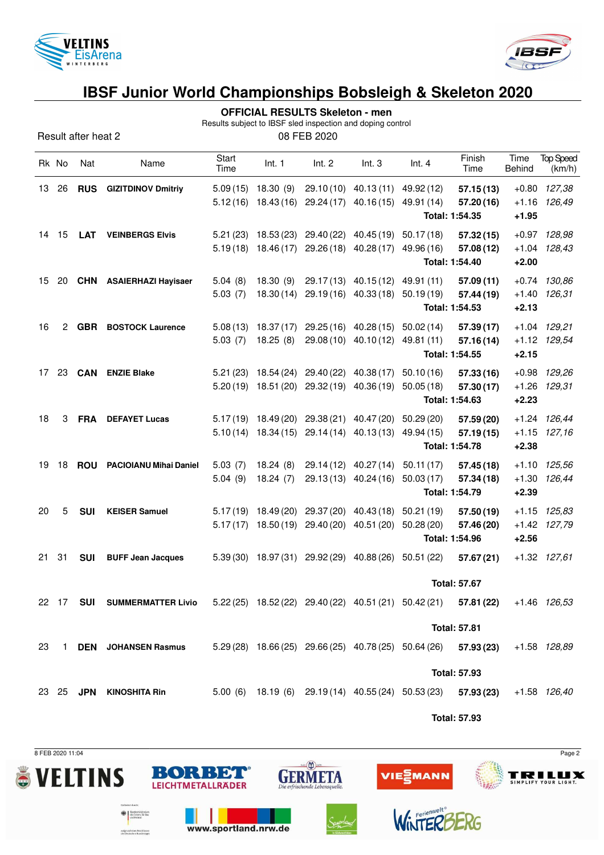



**OFFICIAL RESULTS Skeleton - men**

Results subject to IBSF sled inspection and doping control

Result after heat 2 08 FEB 2020

|    | Rk No | Nat        | Name                                                                                                       | Start<br>Time        | Int. 1                                         | Int. 2                                                    | Int.3                                                                   | Int.4                                                                       | Finish<br>Time                            | Time<br>Behind     | <b>Top Speed</b><br>(km/h)       |
|----|-------|------------|------------------------------------------------------------------------------------------------------------|----------------------|------------------------------------------------|-----------------------------------------------------------|-------------------------------------------------------------------------|-----------------------------------------------------------------------------|-------------------------------------------|--------------------|----------------------------------|
| 13 | -26   | <b>RUS</b> | <b>GIZITDINOV Dmitriy</b>                                                                                  | 5.09(15)<br>5.12(16) | 18.30(9)<br>18.43 (16)                         | 29.24 (17)                                                | 29.10 (10) 40.13 (11) 49.92 (12)<br>40.16(15)                           | 49.91 (14)                                                                  | 57.15(13)<br>57.20(16)<br>Total: 1:54.35  | $+0.80$<br>$+1.95$ | 127,38<br>+1.16 126,49           |
| 14 | 15    | <b>LAT</b> | <b>VEINBERGS Elvis</b>                                                                                     | 5.21(23)             |                                                | 18.53 (23) 29.40 (22)                                     | 40.45 (19)<br>$5.19(18)$ $18.46(17)$ $29.26(18)$ $40.28(17)$            | 50.17(18)<br>49.96 (16)                                                     | 57.32(15)<br>57.08(12)<br>Total: 1:54.40  | $+2.00$            | +0.97 128,98<br>$+1.04$ $128.43$ |
| 15 | 20    |            | <b>CHN</b> ASAIERHAZI Hayisaer                                                                             | 5.04(8)<br>5.03(7)   | 18.30(9)<br>18.30 (14)                         | 29.17 (13)<br>29.19(16)                                   | 40.15(12)<br>40.33(18)                                                  | 49.91 (11)<br>50.19(19)                                                     | 57.09(11)<br>57.44 (19)<br>Total: 1:54.53 | $+2.13$            | $+0.74$ 130,86<br>+1.40 126,31   |
| 16 | 2     |            | <b>GBR</b> BOSTOCK Laurence                                                                                | 5.03(7)              | 18.25(8)                                       |                                                           | $5.08(13)$ $18.37(17)$ $29.25(16)$ $40.28(15)$<br>29.08 (10) 40.10 (12) | 50.02(14)<br>49.81 (11)                                                     | 57.39(17)<br>57.16(14)<br>Total: 1:54.55  | $+2.15$            | $+1.04$ $129,21$<br>+1.12 129,54 |
| 17 | -23   |            | <b>CAN</b> ENZIE Blake                                                                                     | 5.21(23)<br>5.20(19) |                                                | 18.54 (24) 29.40 (22)<br>18.51 (20) 29.32 (19) 40.36 (19) | 40.38(17)                                                               | 50.10(16)<br>50.05(18)                                                      | 57.33(16)<br>57.30(17)<br>Total: 1:54.63  | $+2.23$            | +0.98 129,26<br>$+1.26$ $129.31$ |
| 18 | 3     |            | <b>FRA</b> DEFAYET Lucas                                                                                   |                      | $5.10(14)$ 18.34(15)                           | $5.17(19)$ $18.49(20)$ $29.38(21)$<br>29.14(14)           | 40.47 (20)<br>40.13(13)                                                 | 50.29 (20)<br>49.94 (15)                                                    | 57.59 (20)<br>57.19(15)<br>Total: 1:54.78 | $+2.38$            | +1.24 126,44<br>$+1.15$ $127,16$ |
| 19 | 18    | <b>ROU</b> | <b>PACIOIANU Mihai Daniel</b>                                                                              | 5.03(7)<br>5.04(9)   | 18.24(8)<br>18.24(7)                           |                                                           | 29.14 (12) 40.27 (14)<br>29.13 (13) 40.24 (16)                          | 50.11(17)<br>50.03(17)<br>Total: 1:54.79                                    | 57.45 (18)<br>57.34(18)                   | $+1.30$<br>$+2.39$ | +1.10 125,56<br>126,44           |
| 20 | 5     | <b>SUI</b> | <b>KEISER Samuel</b>                                                                                       | 5.17(17)             | $5.17(19)$ 18.49 (20) 29.37 (20)<br>18.50 (19) | 29.40 (20)                                                | 40.43 (18)<br>40.51 (20)                                                | 50.21(19)<br>50.28(20)                                                      | 57.50(19)<br>57.46 (20)<br>Total: 1:54.96 | $+2.56$            | $+1.15$ $125,83$<br>+1.42 127,79 |
| 21 | 31    | <b>SUI</b> | <b>BUFF Jean Jacques</b>                                                                                   |                      |                                                | 5.39 (30) 18.97 (31) 29.92 (29) 40.88 (26)                |                                                                         | 50.51 (22)                                                                  | 57.67 (21)<br><b>Total: 57.67</b>         |                    | $+1.32$ $127,61$                 |
|    |       |            | 22 17 SUI SUMMERMATTER Livio 5.22 (25) 18.52 (22) 29.40 (22) 40.51 (21) 50.42 (21) 57.81 (22) +1.46 126,53 |                      |                                                |                                                           |                                                                         |                                                                             | <b>Total: 57.81</b>                       |                    |                                  |
| 23 |       |            | 1 DEN JOHANSEN Rasmus                                                                                      |                      |                                                |                                                           |                                                                         | $5.29(28)$ 18.66 (25) 29.66 (25) 40.78 (25) 50.64 (26) 57.93 (23)           | <b>Total: 57.93</b>                       |                    | +1.58 128,89                     |
|    |       |            | 23 25 JPN KINOSHITA Rin                                                                                    |                      |                                                |                                                           |                                                                         | 5.00 (6) 18.19 (6) 29.19 (14) 40.55 (24) 50.53 (23) 57.93 (23) +1.58 126,40 |                                           |                    |                                  |

**Total: 57.93**